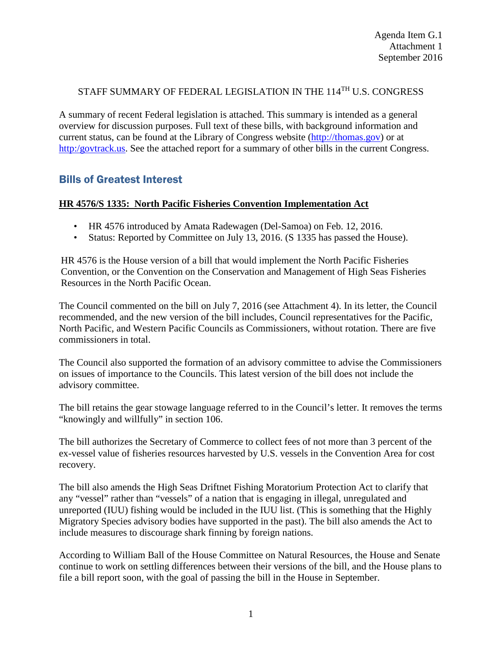## STAFF SUMMARY OF FEDERAL LEGISLATION IN THE 114<sup>TH</sup> U.S. CONGRESS

A summary of recent Federal legislation is attached. This summary is intended as a general overview for discussion purposes. Full text of these bills, with background information and current status, can be found at the Library of Congress website [\(http://thomas.gov\)](http://thomas.gov/) or at [http:/govtrack.us.](http://govtrack.us/) See the attached report for a summary of other bills in the current Congress.

# Bills of Greatest Interest

### **HR 4576/S 1335: North Pacific Fisheries Convention Implementation Act**

- HR 4576 introduced by Amata Radewagen (Del-Samoa) on Feb. 12, 2016.
- Status: Reported by Committee on July 13, 2016. (S 1335 has passed the House).

HR 4576 is the House version of a bill that would implement the North Pacific Fisheries Convention, or the Convention on the Conservation and Management of High Seas Fisheries Resources in the North Pacific Ocean.

The Council commented on the bill on July 7, 2016 (see Attachment 4). In its letter, the Council recommended, and the new version of the bill includes, Council representatives for the Pacific, North Pacific, and Western Pacific Councils as Commissioners, without rotation. There are five commissioners in total.

The Council also supported the formation of an advisory committee to advise the Commissioners on issues of importance to the Councils. This latest version of the bill does not include the advisory committee.

The bill retains the gear stowage language referred to in the Council's letter. It removes the terms "knowingly and willfully" in section 106.

The bill authorizes the Secretary of Commerce to collect fees of not more than 3 percent of the ex-vessel value of fisheries resources harvested by U.S. vessels in the Convention Area for cost recovery.

The bill also amends the High Seas Driftnet Fishing Moratorium Protection Act to clarify that any "vessel" rather than "vessels" of a nation that is engaging in illegal, unregulated and unreported (IUU) fishing would be included in the IUU list. (This is something that the Highly Migratory Species advisory bodies have supported in the past). The bill also amends the Act to include measures to discourage shark finning by foreign nations.

According to William Ball of the House Committee on Natural Resources, the House and Senate continue to work on settling differences between their versions of the bill, and the House plans to file a bill report soon, with the goal of passing the bill in the House in September.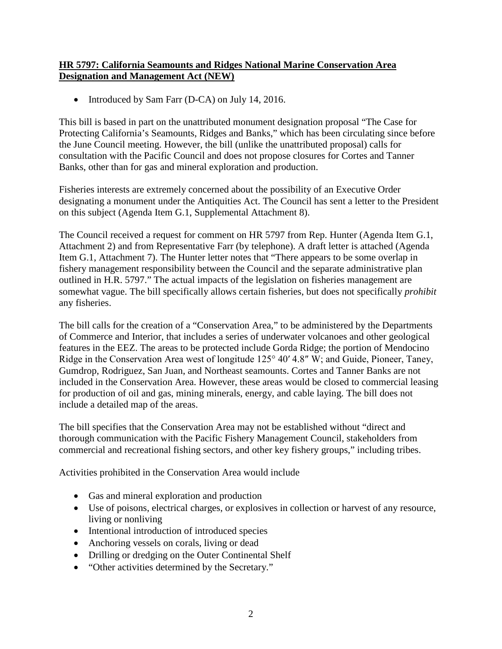## **HR 5797: California Seamounts and Ridges National Marine Conservation Area Designation and Management Act (NEW)**

• Introduced by Sam Farr (D-CA) on July 14, 2016.

This bill is based in part on the unattributed monument designation proposal "The Case for Protecting California's Seamounts, Ridges and Banks," which has been circulating since before the June Council meeting. However, the bill (unlike the unattributed proposal) calls for consultation with the Pacific Council and does not propose closures for Cortes and Tanner Banks, other than for gas and mineral exploration and production.

Fisheries interests are extremely concerned about the possibility of an Executive Order designating a monument under the Antiquities Act. The Council has sent a letter to the President on this subject (Agenda Item G.1, Supplemental Attachment 8).

The Council received a request for comment on HR 5797 from Rep. Hunter (Agenda Item G.1, Attachment 2) and from Representative Farr (by telephone). A draft letter is attached (Agenda Item G.1, Attachment 7). The Hunter letter notes that "There appears to be some overlap in fishery management responsibility between the Council and the separate administrative plan outlined in H.R. 5797." The actual impacts of the legislation on fisheries management are somewhat vague. The bill specifically allows certain fisheries, but does not specifically *prohibit* any fisheries.

The bill calls for the creation of a "Conservation Area," to be administered by the Departments of Commerce and Interior, that includes a series of underwater volcanoes and other geological features in the EEZ. The areas to be protected include Gorda Ridge; the portion of Mendocino Ridge in the Conservation Area west of longitude 125° 40′ 4.8″ W; and Guide, Pioneer, Taney, Gumdrop, Rodriguez, San Juan, and Northeast seamounts. Cortes and Tanner Banks are not included in the Conservation Area. However, these areas would be closed to commercial leasing for production of oil and gas, mining minerals, energy, and cable laying. The bill does not include a detailed map of the areas.

The bill specifies that the Conservation Area may not be established without "direct and thorough communication with the Pacific Fishery Management Council, stakeholders from commercial and recreational fishing sectors, and other key fishery groups," including tribes.

Activities prohibited in the Conservation Area would include

- Gas and mineral exploration and production
- Use of poisons, electrical charges, or explosives in collection or harvest of any resource, living or nonliving
- Intentional introduction of introduced species
- Anchoring vessels on corals, living or dead
- Drilling or dredging on the Outer Continental Shelf
- "Other activities determined by the Secretary."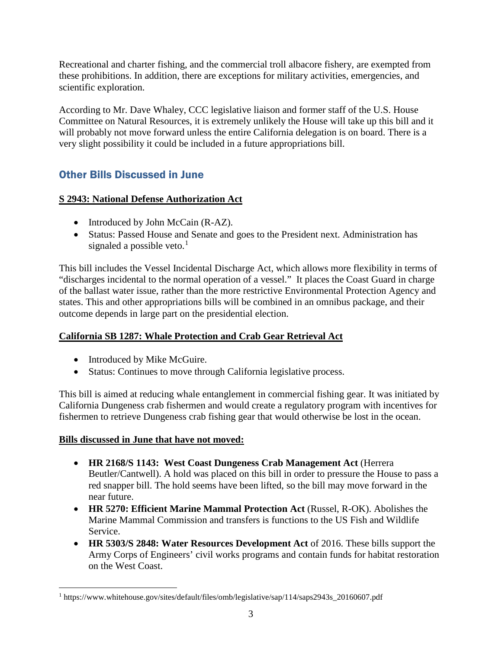Recreational and charter fishing, and the commercial troll albacore fishery, are exempted from these prohibitions. In addition, there are exceptions for military activities, emergencies, and scientific exploration.

According to Mr. Dave Whaley, CCC legislative liaison and former staff of the U.S. House Committee on Natural Resources, it is extremely unlikely the House will take up this bill and it will probably not move forward unless the entire California delegation is on board. There is a very slight possibility it could be included in a future appropriations bill.

# Other Bills Discussed in June

# **S 2943: National Defense Authorization Act**

- Introduced by John McCain (R-AZ).
- Status: Passed House and Senate and goes to the President next. Administration has signaled a possible veto. $<sup>1</sup>$  $<sup>1</sup>$  $<sup>1</sup>$ </sup>

This bill includes the Vessel Incidental Discharge Act, which allows more flexibility in terms of "discharges incidental to the normal operation of a vessel." It places the Coast Guard in charge of the ballast water issue, rather than the more restrictive Environmental Protection Agency and states. This and other appropriations bills will be combined in an omnibus package, and their outcome depends in large part on the presidential election.

# **California SB 1287: Whale Protection and Crab Gear Retrieval Act**

- Introduced by Mike McGuire.
- Status: Continues to move through California legislative process.

This bill is aimed at reducing whale entanglement in commercial fishing gear. It was initiated by California Dungeness crab fishermen and would create a regulatory program with incentives for fishermen to retrieve Dungeness crab fishing gear that would otherwise be lost in the ocean.

# **Bills discussed in June that have not moved:**

- **HR 2168/S 1143: West Coast Dungeness Crab Management Act** (Herrera Beutler/Cantwell). A hold was placed on this bill in order to pressure the House to pass a red snapper bill. The hold seems have been lifted, so the bill may move forward in the near future.
- **HR 5270: Efficient Marine Mammal Protection Act** (Russel, R-OK). Abolishes the Marine Mammal Commission and transfers is functions to the US Fish and Wildlife Service.
- **HR 5303/S 2848: Water Resources Development Act** of 2016. These bills support the Army Corps of Engineers' civil works programs and contain funds for habitat restoration on the West Coast.

<span id="page-2-0"></span><sup>&</sup>lt;sup>1</sup> https://www.whitehouse.gov/sites/default/files/omb/legislative/sap/114/saps2943s\_20160607.pdf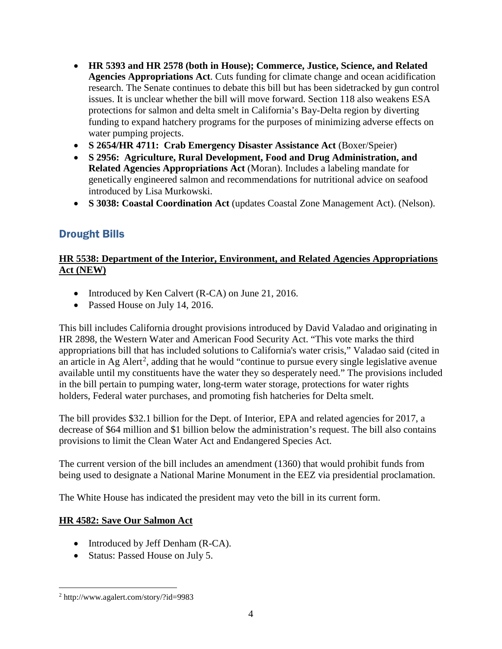- **HR 5393 and HR 2578 (both in House); Commerce, Justice, Science, and Related Agencies Appropriations Act**. Cuts funding for climate change and ocean acidification research. The Senate continues to debate this bill but has been sidetracked by gun control issues. It is unclear whether the bill will move forward. Section 118 also weakens ESA protections for salmon and delta smelt in California's Bay-Delta region by diverting funding to expand hatchery programs for the purposes of minimizing adverse effects on water pumping projects.
- **S 2654/HR 4711: Crab Emergency Disaster Assistance Act** (Boxer/Speier)
- **S 2956: Agriculture, Rural Development, Food and Drug Administration, and Related Agencies Appropriations Act** (Moran). Includes a labeling mandate for genetically engineered salmon and recommendations for nutritional advice on seafood introduced by Lisa Murkowski.
- **S 3038: Coastal Coordination Act** (updates Coastal Zone Management Act). (Nelson).

# Drought Bills

# **HR 5538: Department of the Interior, Environment, and Related Agencies Appropriations Act (NEW)**

- Introduced by Ken Calvert (R-CA) on June 21, 2016.
- Passed House on July 14, 2016.

This bill includes California drought provisions introduced by David Valadao and originating in HR 2898, the Western Water and American Food Security Act. "This vote marks the third appropriations bill that has included solutions to California's water crisis," Valadao said (cited in an article in Ag Alert<sup>[2](#page-3-0)</sup>, adding that he would "continue to pursue every single legislative avenue available until my constituents have the water they so desperately need." The provisions included in the bill pertain to pumping water, long-term water storage, protections for water rights holders, Federal water purchases, and promoting fish hatcheries for Delta smelt.

The bill provides \$32.1 billion for the Dept. of Interior, EPA and related agencies for 2017, a decrease of \$64 million and \$1 billion below the administration's request. The bill also contains provisions to limit the Clean Water Act and Endangered Species Act.

The current version of the bill includes an amendment (1360) that would prohibit funds from being used to designate a National Marine Monument in the EEZ via presidential proclamation.

The White House has indicated the president may veto the bill in its current form.

# **HR 4582: Save Our Salmon Act**

- Introduced by Jeff Denham (R-CA).
- Status: Passed House on July 5.

<span id="page-3-0"></span> <sup>2</sup> http://www.agalert.com/story/?id=9983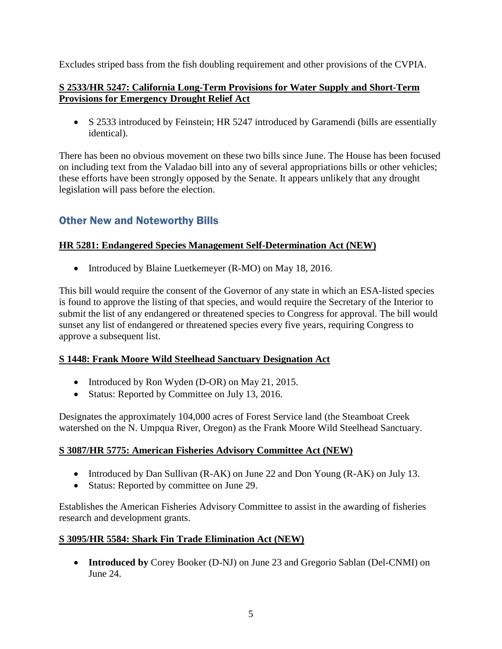Excludes striped bass from the fish doubling requirement and other provisions of the CVPIA.

## **S 2533/HR 5247: California Long-Term Provisions for Water Supply and Short-Term Provisions for Emergency Drought Relief Act**

• S 2533 introduced by Feinstein; HR 5247 introduced by Garamendi (bills are essentially identical).

There has been no obvious movement on these two bills since June. The House has been focused on including text from the Valadao bill into any of several appropriations bills or other vehicles; these efforts have been strongly opposed by the Senate. It appears unlikely that any drought legislation will pass before the election.

# Other New and Noteworthy Bills

# **HR 5281: Endangered Species Management Self-Determination Act (NEW)**

• Introduced by Blaine Luetkemeyer (R-MO) on May 18, 2016.

This bill would require the consent of the Governor of any state in which an ESA-listed species is found to approve the listing of that species, and would require the Secretary of the Interior to submit the list of any endangered or threatened species to Congress for approval. The bill would sunset any list of endangered or threatened species every five years, requiring Congress to approve a subsequent list.

### **S 1448: Frank Moore Wild Steelhead Sanctuary Designation Act**

- Introduced by Ron Wyden (D-OR) on May 21, 2015.
- Status: Reported by Committee on July 13, 2016.

Designates the approximately 104,000 acres of Forest Service land (the Steamboat Creek watershed on the N. Umpqua River, Oregon) as the Frank Moore Wild Steelhead Sanctuary.

### **S 3087/HR 5775: American Fisheries Advisory Committee Act (NEW)**

- Introduced by Dan Sullivan (R-AK) on June 22 and Don Young (R-AK) on July 13.
- Status: Reported by committee on June 29.

Establishes the American Fisheries Advisory Committee to assist in the awarding of fisheries research and development grants.

### **S 3095/HR 5584: Shark Fin Trade Elimination Act (NEW)**

• **Introduced by** Corey Booker (D-NJ) on June 23 and Gregorio Sablan (Del-CNMI) on June 24.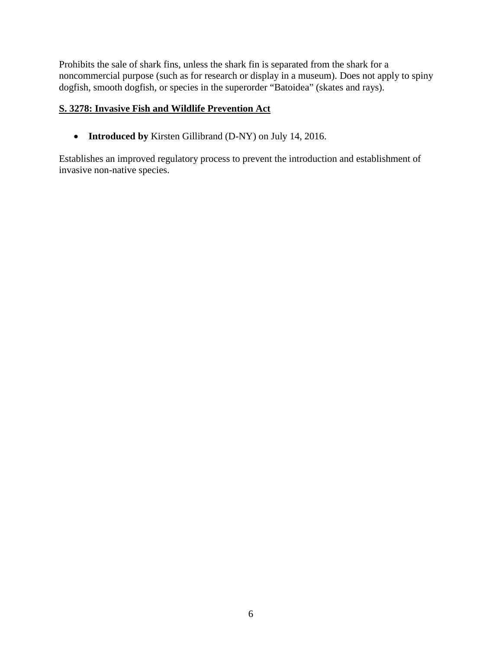Prohibits the sale of shark fins, unless the shark fin is separated from the shark for a noncommercial purpose (such as for research or display in a museum). Does not apply to spiny dogfish, smooth dogfish, or species in the superorder "Batoidea" (skates and rays).

## **S. 3278: Invasive Fish and Wildlife Prevention Act**

• **Introduced by** Kirsten Gillibrand (D-NY) on July 14, 2016.

Establishes an improved regulatory process to prevent the introduction and establishment of invasive non-native species.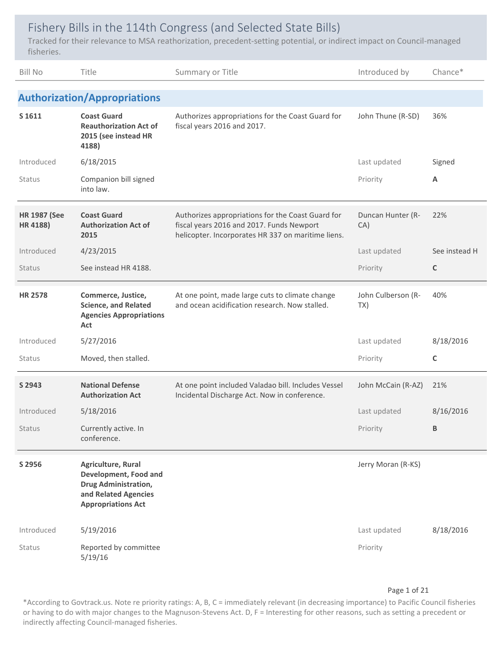# Fishery Bills in the 114th Congress (and Selected State Bills)

Tracked for their relevance to MSA reathorization, precedent‐setting potential, or indirect impact on Council‐managed fisheries.

| <b>Bill No</b>                  | Title                                                                                                                           | Summary or Title                                                                                                                                     | Introduced by             | Chance*       |
|---------------------------------|---------------------------------------------------------------------------------------------------------------------------------|------------------------------------------------------------------------------------------------------------------------------------------------------|---------------------------|---------------|
|                                 | <b>Authorization/Appropriations</b>                                                                                             |                                                                                                                                                      |                           |               |
| S 1611                          | <b>Coast Guard</b><br><b>Reauthorization Act of</b><br>2015 (see instead HR<br>4188)                                            | Authorizes appropriations for the Coast Guard for<br>fiscal years 2016 and 2017.                                                                     | John Thune (R-SD)         | 36%           |
| Introduced                      | 6/18/2015                                                                                                                       |                                                                                                                                                      | Last updated              | Signed        |
| Status                          | Companion bill signed<br>into law.                                                                                              |                                                                                                                                                      | Priority                  | Α             |
| <b>HR 1987 (See</b><br>HR 4188) | <b>Coast Guard</b><br><b>Authorization Act of</b><br>2015                                                                       | Authorizes appropriations for the Coast Guard for<br>fiscal years 2016 and 2017. Funds Newport<br>helicopter. Incorporates HR 337 on maritime liens. | Duncan Hunter (R-<br>CA)  | 22%           |
| Introduced                      | 4/23/2015                                                                                                                       |                                                                                                                                                      | Last updated              | See instead H |
| Status                          | See instead HR 4188.                                                                                                            |                                                                                                                                                      | Priority                  | C             |
| <b>HR 2578</b>                  | Commerce, Justice,<br><b>Science, and Related</b><br><b>Agencies Appropriations</b><br>Act                                      | At one point, made large cuts to climate change<br>and ocean acidification research. Now stalled.                                                    | John Culberson (R-<br>TX) | 40%           |
| Introduced                      | 5/27/2016                                                                                                                       |                                                                                                                                                      | Last updated              | 8/18/2016     |
| Status                          | Moved, then stalled.                                                                                                            |                                                                                                                                                      | Priority                  | C             |
| S 2943                          | <b>National Defense</b><br><b>Authorization Act</b>                                                                             | At one point included Valadao bill. Includes Vessel<br>Incidental Discharge Act. Now in conference.                                                  | John McCain (R-AZ)        | 21%           |
| Introduced                      | 5/18/2016                                                                                                                       |                                                                                                                                                      | Last updated              | 8/16/2016     |
| Status                          | Currently active. In<br>conference.                                                                                             |                                                                                                                                                      | Priority                  | В             |
| S 2956                          | Agriculture, Rural<br>Development, Food and<br><b>Drug Administration,</b><br>and Related Agencies<br><b>Appropriations Act</b> |                                                                                                                                                      | Jerry Moran (R-KS)        |               |
| Introduced                      | 5/19/2016                                                                                                                       |                                                                                                                                                      | Last updated              | 8/18/2016     |
| Status                          | Reported by committee<br>5/19/16                                                                                                |                                                                                                                                                      | Priority                  |               |

### Page 1 of 21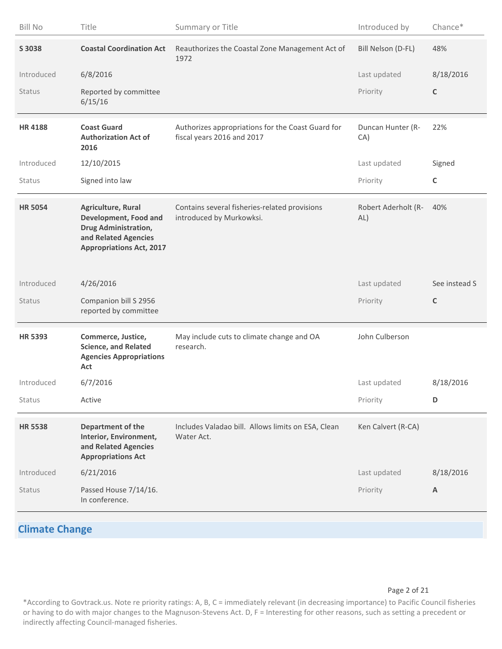| <b>Bill No</b> | Title                                                                                                                          | Summary or Title                                                                | Introduced by              | Chance*       |
|----------------|--------------------------------------------------------------------------------------------------------------------------------|---------------------------------------------------------------------------------|----------------------------|---------------|
| S 3038         | <b>Coastal Coordination Act</b>                                                                                                | Reauthorizes the Coastal Zone Management Act of<br>1972                         | Bill Nelson (D-FL)         | 48%           |
| Introduced     | 6/8/2016                                                                                                                       |                                                                                 | Last updated               | 8/18/2016     |
| Status         | Reported by committee<br>6/15/16                                                                                               |                                                                                 | Priority                   | C             |
| <b>HR4188</b>  | <b>Coast Guard</b><br><b>Authorization Act of</b><br>2016                                                                      | Authorizes appropriations for the Coast Guard for<br>fiscal years 2016 and 2017 | Duncan Hunter (R-<br>CA)   | 22%           |
| Introduced     | 12/10/2015                                                                                                                     |                                                                                 | Last updated               | Signed        |
| Status         | Signed into law                                                                                                                |                                                                                 | Priority                   | $\mathsf C$   |
| <b>HR 5054</b> | Agriculture, Rural<br>Development, Food and<br>Drug Administration,<br>and Related Agencies<br><b>Appropriations Act, 2017</b> | Contains several fisheries-related provisions<br>introduced by Murkowksi.       | Robert Aderholt (R-<br>AL) | 40%           |
|                |                                                                                                                                |                                                                                 |                            |               |
| Introduced     | 4/26/2016                                                                                                                      |                                                                                 | Last updated               | See instead S |
| Status         | Companion bill S 2956<br>reported by committee                                                                                 |                                                                                 | Priority                   | $\mathsf{C}$  |
| <b>HR 5393</b> | Commerce, Justice,<br><b>Science, and Related</b><br><b>Agencies Appropriations</b><br>Act                                     | May include cuts to climate change and OA<br>research.                          | John Culberson             |               |
| Introduced     | 6/7/2016                                                                                                                       |                                                                                 | Last updated               | 8/18/2016     |
| Status         | Active                                                                                                                         |                                                                                 | Priority                   | D             |
| <b>HR 5538</b> | Department of the<br>Interior, Environment,<br>and Related Agencies<br><b>Appropriations Act</b>                               | Includes Valadao bill. Allows limits on ESA, Clean<br>Water Act.                | Ken Calvert (R-CA)         |               |
| Introduced     | 6/21/2016                                                                                                                      |                                                                                 | Last updated               | 8/18/2016     |

# **Climate Change**

Page 2 of 21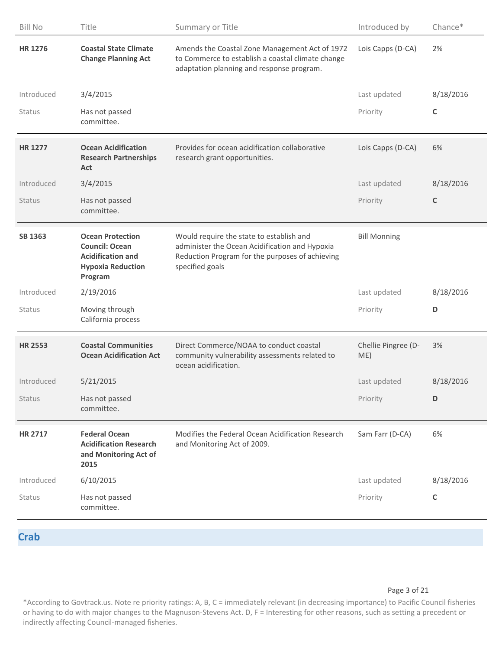| <b>Bill No</b> | Title                                                                                                               | Summary or Title                                                                                                                                                 | Introduced by              | Chance*   |
|----------------|---------------------------------------------------------------------------------------------------------------------|------------------------------------------------------------------------------------------------------------------------------------------------------------------|----------------------------|-----------|
| <b>HR 1276</b> | <b>Coastal State Climate</b><br><b>Change Planning Act</b>                                                          | Amends the Coastal Zone Management Act of 1972<br>to Commerce to establish a coastal climate change<br>adaptation planning and response program.                 | Lois Capps (D-CA)          | 2%        |
| Introduced     | 3/4/2015                                                                                                            |                                                                                                                                                                  | Last updated               | 8/18/2016 |
| Status         | Has not passed<br>committee.                                                                                        |                                                                                                                                                                  | Priority                   | C         |
| <b>HR 1277</b> | <b>Ocean Acidification</b><br><b>Research Partnerships</b><br>Act                                                   | Provides for ocean acidification collaborative<br>research grant opportunities.                                                                                  | Lois Capps (D-CA)          | 6%        |
| Introduced     | 3/4/2015                                                                                                            |                                                                                                                                                                  | Last updated               | 8/18/2016 |
| Status         | Has not passed<br>committee.                                                                                        |                                                                                                                                                                  | Priority                   | C         |
| <b>SB 1363</b> | <b>Ocean Protection</b><br><b>Council: Ocean</b><br><b>Acidification and</b><br><b>Hypoxia Reduction</b><br>Program | Would require the state to establish and<br>administer the Ocean Acidification and Hypoxia<br>Reduction Program for the purposes of achieving<br>specified goals | <b>Bill Monning</b>        |           |
| Introduced     | 2/19/2016                                                                                                           |                                                                                                                                                                  | Last updated               | 8/18/2016 |
| Status         | Moving through<br>California process                                                                                |                                                                                                                                                                  | Priority                   | D         |
| <b>HR 2553</b> | <b>Coastal Communities</b><br><b>Ocean Acidification Act</b>                                                        | Direct Commerce/NOAA to conduct coastal<br>community vulnerability assessments related to<br>ocean acidification.                                                | Chellie Pingree (D-<br>ME) | 3%        |
| Introduced     | 5/21/2015                                                                                                           |                                                                                                                                                                  | Last updated               | 8/18/2016 |
| Status         | Has not passed<br>committee.                                                                                        |                                                                                                                                                                  | Priority                   | D         |
| <b>HR 2717</b> | <b>Federal Ocean</b><br><b>Acidification Research</b><br>and Monitoring Act of<br>2015                              | Modifies the Federal Ocean Acidification Research<br>and Monitoring Act of 2009.                                                                                 | Sam Farr (D-CA)            | 6%        |
| Introduced     | 6/10/2015                                                                                                           |                                                                                                                                                                  | Last updated               | 8/18/2016 |
| Status         | Has not passed                                                                                                      |                                                                                                                                                                  | Priority                   | C         |
|                | committee.                                                                                                          |                                                                                                                                                                  |                            |           |

### **Crab**

Page 3 of 21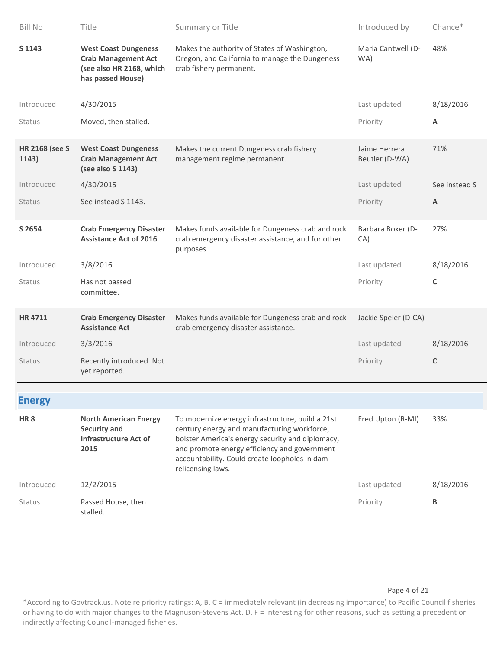| <b>Bill No</b>                 | Title                                                                                                      | Summary or Title                                                                                                                                                                                                                                                          | Introduced by                   | Chance*       |
|--------------------------------|------------------------------------------------------------------------------------------------------------|---------------------------------------------------------------------------------------------------------------------------------------------------------------------------------------------------------------------------------------------------------------------------|---------------------------------|---------------|
| S 1143                         | <b>West Coast Dungeness</b><br><b>Crab Management Act</b><br>(see also HR 2168, which<br>has passed House) | Makes the authority of States of Washington,<br>Oregon, and California to manage the Dungeness<br>crab fishery permanent.                                                                                                                                                 | Maria Cantwell (D-<br>WA)       | 48%           |
| Introduced                     | 4/30/2015                                                                                                  |                                                                                                                                                                                                                                                                           | Last updated                    | 8/18/2016     |
| Status                         | Moved, then stalled.                                                                                       |                                                                                                                                                                                                                                                                           | Priority                        | Α             |
| <b>HR 2168 (see S</b><br>1143) | <b>West Coast Dungeness</b><br><b>Crab Management Act</b><br>(see also S 1143)                             | Makes the current Dungeness crab fishery<br>management regime permanent.                                                                                                                                                                                                  | Jaime Herrera<br>Beutler (D-WA) | 71%           |
| Introduced                     | 4/30/2015                                                                                                  |                                                                                                                                                                                                                                                                           | Last updated                    | See instead S |
| Status                         | See instead S 1143.                                                                                        |                                                                                                                                                                                                                                                                           | Priority                        | A             |
| S 2654                         | <b>Crab Emergency Disaster</b><br><b>Assistance Act of 2016</b>                                            | Makes funds available for Dungeness crab and rock<br>crab emergency disaster assistance, and for other<br>purposes.                                                                                                                                                       | Barbara Boxer (D-<br>CA)        | 27%           |
| Introduced                     | 3/8/2016                                                                                                   |                                                                                                                                                                                                                                                                           | Last updated                    | 8/18/2016     |
| Status                         | Has not passed<br>committee.                                                                               |                                                                                                                                                                                                                                                                           | Priority                        | C             |
| <b>HR4711</b>                  | <b>Crab Emergency Disaster</b><br><b>Assistance Act</b>                                                    | Makes funds available for Dungeness crab and rock<br>crab emergency disaster assistance.                                                                                                                                                                                  | Jackie Speier (D-CA)            |               |
| Introduced                     | 3/3/2016                                                                                                   |                                                                                                                                                                                                                                                                           | Last updated                    | 8/18/2016     |
| Status                         | Recently introduced. Not<br>yet reported.                                                                  |                                                                                                                                                                                                                                                                           | Priority                        | C             |
| <b>Energy</b>                  |                                                                                                            |                                                                                                                                                                                                                                                                           |                                 |               |
| HR <sub>8</sub>                | <b>North American Energy</b><br><b>Security and</b><br><b>Infrastructure Act of</b><br>2015                | To modernize energy infrastructure, build a 21st<br>century energy and manufacturing workforce,<br>bolster America's energy security and diplomacy,<br>and promote energy efficiency and government<br>accountability. Could create loopholes in dam<br>relicensing laws. | Fred Upton (R-MI)               | 33%           |
| Introduced                     | 12/2/2015                                                                                                  |                                                                                                                                                                                                                                                                           | Last updated                    | 8/18/2016     |
| Status                         | Passed House, then<br>stalled.                                                                             |                                                                                                                                                                                                                                                                           | Priority                        | B             |

### Page 4 of 21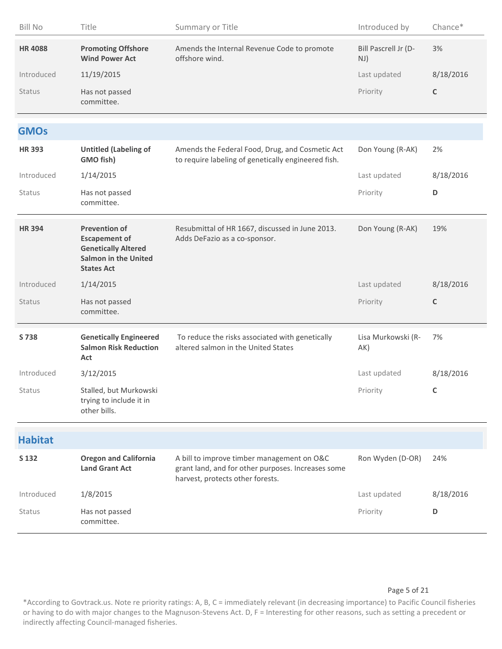| <b>Bill No</b> | Title                                                                                                                          | Summary or Title                                                                                                                     | Introduced by               | Chance*     |
|----------------|--------------------------------------------------------------------------------------------------------------------------------|--------------------------------------------------------------------------------------------------------------------------------------|-----------------------------|-------------|
| <b>HR4088</b>  | <b>Promoting Offshore</b><br><b>Wind Power Act</b>                                                                             | Amends the Internal Revenue Code to promote<br>offshore wind.                                                                        | Bill Pascrell Jr (D-<br>NJ) | 3%          |
| Introduced     | 11/19/2015                                                                                                                     |                                                                                                                                      | Last updated                | 8/18/2016   |
| Status         | Has not passed<br>committee.                                                                                                   |                                                                                                                                      | Priority                    | $\mathsf C$ |
| <b>GMOs</b>    |                                                                                                                                |                                                                                                                                      |                             |             |
| <b>HR393</b>   | <b>Untitled (Labeling of</b><br>GMO fish)                                                                                      | Amends the Federal Food, Drug, and Cosmetic Act<br>to require labeling of genetically engineered fish.                               | Don Young (R-AK)            | 2%          |
| Introduced     | 1/14/2015                                                                                                                      |                                                                                                                                      | Last updated                | 8/18/2016   |
| Status         | Has not passed<br>committee.                                                                                                   |                                                                                                                                      | Priority                    | D           |
| <b>HR394</b>   | <b>Prevention of</b><br><b>Escapement of</b><br><b>Genetically Altered</b><br><b>Salmon in the United</b><br><b>States Act</b> | Resubmittal of HR 1667, discussed in June 2013.<br>Adds DeFazio as a co-sponsor.                                                     | Don Young (R-AK)            | 19%         |
| Introduced     | 1/14/2015                                                                                                                      |                                                                                                                                      | Last updated                | 8/18/2016   |
| Status         | Has not passed<br>committee.                                                                                                   |                                                                                                                                      | Priority                    | C           |
| S 738          | <b>Genetically Engineered</b><br><b>Salmon Risk Reduction</b><br>Act                                                           | To reduce the risks associated with genetically<br>altered salmon in the United States                                               | Lisa Murkowski (R-<br>AK)   | 7%          |
| Introduced     | 3/12/2015                                                                                                                      |                                                                                                                                      | Last updated                | 8/18/2016   |
| <b>Status</b>  | Stalled, but Murkowski<br>trying to include it in<br>other bills.                                                              |                                                                                                                                      | Priority                    | C           |
| <b>Habitat</b> |                                                                                                                                |                                                                                                                                      |                             |             |
| S 132          | <b>Oregon and California</b><br><b>Land Grant Act</b>                                                                          | A bill to improve timber management on O&C<br>grant land, and for other purposes. Increases some<br>harvest, protects other forests. | Ron Wyden (D-OR)            | 24%         |
| Introduced     | 1/8/2015                                                                                                                       |                                                                                                                                      | Last updated                | 8/18/2016   |
| Status         | Has not passed<br>committee.                                                                                                   |                                                                                                                                      | Priority                    | D           |

### Page 5 of 21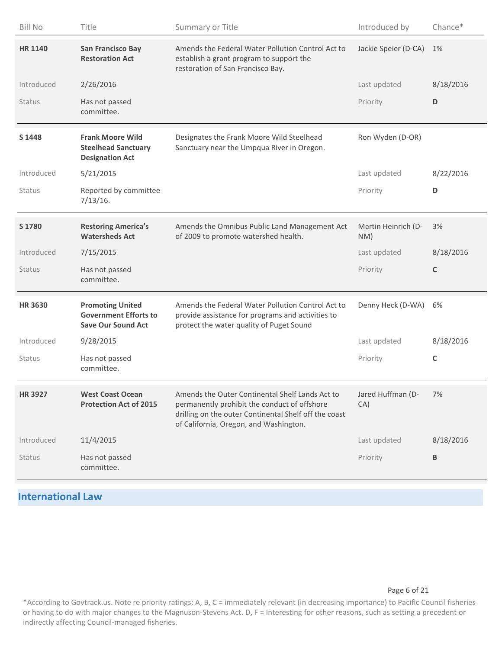| <b>Bill No</b> | Title                                                                                | Summary or Title                                                                                                                                                                                   | Introduced by              | Chance*     |
|----------------|--------------------------------------------------------------------------------------|----------------------------------------------------------------------------------------------------------------------------------------------------------------------------------------------------|----------------------------|-------------|
| <b>HR 1140</b> | <b>San Francisco Bay</b><br><b>Restoration Act</b>                                   | Amends the Federal Water Pollution Control Act to<br>establish a grant program to support the<br>restoration of San Francisco Bay.                                                                 | Jackie Speier (D-CA)       | 1%          |
| Introduced     | 2/26/2016                                                                            |                                                                                                                                                                                                    | Last updated               | 8/18/2016   |
| Status         | Has not passed<br>committee.                                                         |                                                                                                                                                                                                    | Priority                   | D           |
| S 1448         | <b>Frank Moore Wild</b><br><b>Steelhead Sanctuary</b><br><b>Designation Act</b>      | Designates the Frank Moore Wild Steelhead<br>Sanctuary near the Umpqua River in Oregon.                                                                                                            | Ron Wyden (D-OR)           |             |
| Introduced     | 5/21/2015                                                                            |                                                                                                                                                                                                    | Last updated               | 8/22/2016   |
| Status         | Reported by committee<br>7/13/16.                                                    |                                                                                                                                                                                                    | Priority                   | D           |
| S 1780         | <b>Restoring America's</b><br><b>Watersheds Act</b>                                  | Amends the Omnibus Public Land Management Act<br>of 2009 to promote watershed health.                                                                                                              | Martin Heinrich (D-<br>NM) | 3%          |
| Introduced     | 7/15/2015                                                                            |                                                                                                                                                                                                    | Last updated               | 8/18/2016   |
| Status         | Has not passed<br>committee.                                                         |                                                                                                                                                                                                    | Priority                   | $\mathsf C$ |
| <b>HR 3630</b> | <b>Promoting United</b><br><b>Government Efforts to</b><br><b>Save Our Sound Act</b> | Amends the Federal Water Pollution Control Act to<br>provide assistance for programs and activities to<br>protect the water quality of Puget Sound                                                 | Denny Heck (D-WA)          | 6%          |
| Introduced     | 9/28/2015                                                                            |                                                                                                                                                                                                    | Last updated               | 8/18/2016   |
| Status         | Has not passed<br>committee.                                                         |                                                                                                                                                                                                    | Priority                   | C           |
| <b>HR 3927</b> | <b>West Coast Ocean</b><br><b>Protection Act of 2015</b>                             | Amends the Outer Continental Shelf Lands Act to<br>permanently prohibit the conduct of offshore<br>drilling on the outer Continental Shelf off the coast<br>of California, Oregon, and Washington. | Jared Huffman (D-<br>CA)   | 7%          |
| Introduced     | 11/4/2015                                                                            |                                                                                                                                                                                                    | Last updated               | 8/18/2016   |
| Status         | Has not passed<br>committee.                                                         |                                                                                                                                                                                                    | Priority                   | В           |

# **International Law**

### Page 6 of 21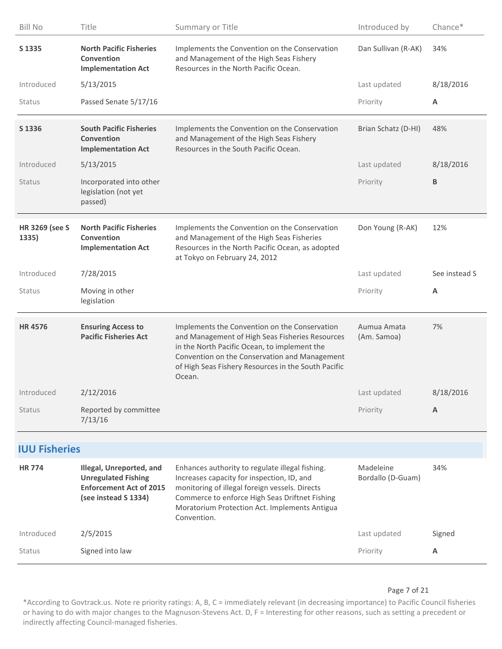| <b>Bill No</b>                 | Title                                                                                                            | Summary or Title                                                                                                                                                                                                                                                   | Introduced by                  | Chance*       |
|--------------------------------|------------------------------------------------------------------------------------------------------------------|--------------------------------------------------------------------------------------------------------------------------------------------------------------------------------------------------------------------------------------------------------------------|--------------------------------|---------------|
| S 1335                         | <b>North Pacific Fisheries</b><br>Convention<br><b>Implementation Act</b>                                        | Implements the Convention on the Conservation<br>and Management of the High Seas Fishery<br>Resources in the North Pacific Ocean.                                                                                                                                  | Dan Sullivan (R-AK)            | 34%           |
| Introduced                     | 5/13/2015                                                                                                        |                                                                                                                                                                                                                                                                    | Last updated                   | 8/18/2016     |
| Status                         | Passed Senate 5/17/16                                                                                            |                                                                                                                                                                                                                                                                    | Priority                       | A             |
| S 1336                         | <b>South Pacific Fisheries</b><br>Convention<br><b>Implementation Act</b>                                        | Implements the Convention on the Conservation<br>and Management of the High Seas Fishery<br>Resources in the South Pacific Ocean.                                                                                                                                  | Brian Schatz (D-HI)            | 48%           |
| Introduced                     | 5/13/2015                                                                                                        |                                                                                                                                                                                                                                                                    | Last updated                   | 8/18/2016     |
| <b>Status</b>                  | Incorporated into other<br>legislation (not yet<br>passed)                                                       |                                                                                                                                                                                                                                                                    | Priority                       | B             |
| <b>HR 3269 (see S</b><br>1335) | <b>North Pacific Fisheries</b><br>Convention<br><b>Implementation Act</b>                                        | Implements the Convention on the Conservation<br>and Management of the High Seas Fisheries<br>Resources in the North Pacific Ocean, as adopted<br>at Tokyo on February 24, 2012                                                                                    | Don Young (R-AK)               | 12%           |
| Introduced                     | 7/28/2015                                                                                                        |                                                                                                                                                                                                                                                                    | Last updated                   | See instead S |
|                                |                                                                                                                  |                                                                                                                                                                                                                                                                    |                                |               |
| Status                         | Moving in other<br>legislation                                                                                   |                                                                                                                                                                                                                                                                    | Priority                       | Α             |
| <b>HR4576</b>                  | <b>Ensuring Access to</b><br><b>Pacific Fisheries Act</b>                                                        | Implements the Convention on the Conservation<br>and Management of High Seas Fisheries Resources<br>in the North Pacific Ocean, to implement the<br>Convention on the Conservation and Management<br>of High Seas Fishery Resources in the South Pacific<br>Ocean. | Aumua Amata<br>(Am. Samoa)     | 7%            |
| Introduced                     | 2/12/2016                                                                                                        |                                                                                                                                                                                                                                                                    | Last updated                   | 8/18/2016     |
| Status                         | Reported by committee<br>7/13/16                                                                                 |                                                                                                                                                                                                                                                                    | Priority                       | A             |
| <b>IUU Fisheries</b>           |                                                                                                                  |                                                                                                                                                                                                                                                                    |                                |               |
| <b>HR774</b>                   | Illegal, Unreported, and<br><b>Unregulated Fishing</b><br><b>Enforcement Act of 2015</b><br>(see instead S 1334) | Enhances authority to regulate illegal fishing.<br>Increases capacity for inspection, ID, and<br>monitoring of illegal foreign vessels. Directs<br>Commerce to enforce High Seas Driftnet Fishing<br>Moratorium Protection Act. Implements Antigua<br>Convention.  | Madeleine<br>Bordallo (D-Guam) | 34%           |
| Introduced                     | 2/5/2015                                                                                                         |                                                                                                                                                                                                                                                                    | Last updated                   | Signed        |

### Page 7 of 21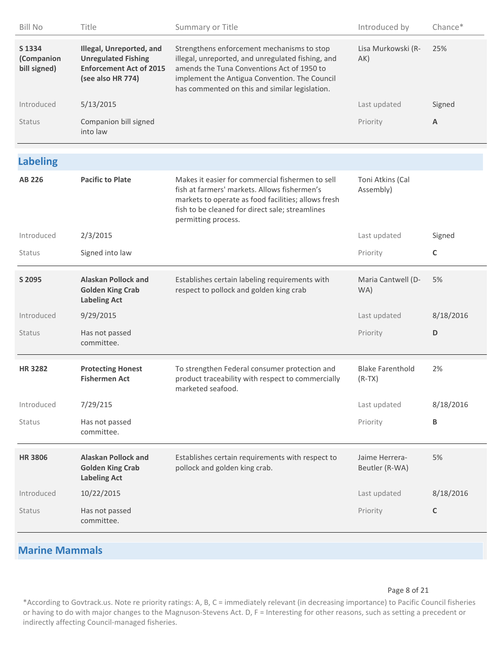| <b>Bill No</b>                       | Title                                                                                                         | Summary or Title                                                                                                                                                                                                                                 | Introduced by                       | Chance*      |
|--------------------------------------|---------------------------------------------------------------------------------------------------------------|--------------------------------------------------------------------------------------------------------------------------------------------------------------------------------------------------------------------------------------------------|-------------------------------------|--------------|
| S 1334<br>(Companion<br>bill signed) | Illegal, Unreported, and<br><b>Unregulated Fishing</b><br><b>Enforcement Act of 2015</b><br>(see also HR 774) | Strengthens enforcement mechanisms to stop<br>illegal, unreported, and unregulated fishing, and<br>amends the Tuna Conventions Act of 1950 to<br>implement the Antigua Convention. The Council<br>has commented on this and similar legislation. | Lisa Murkowski (R-<br>AK)           | 25%          |
| Introduced                           | 5/13/2015                                                                                                     |                                                                                                                                                                                                                                                  | Last updated                        | Signed       |
| Status                               | Companion bill signed<br>into law                                                                             |                                                                                                                                                                                                                                                  | Priority                            | A            |
| <b>Labeling</b>                      |                                                                                                               |                                                                                                                                                                                                                                                  |                                     |              |
| <b>AB 226</b>                        | <b>Pacific to Plate</b>                                                                                       | Makes it easier for commercial fishermen to sell<br>fish at farmers' markets. Allows fishermen's<br>markets to operate as food facilities; allows fresh<br>fish to be cleaned for direct sale; streamlines<br>permitting process.                | Toni Atkins (Cal<br>Assembly)       |              |
| Introduced                           | 2/3/2015                                                                                                      |                                                                                                                                                                                                                                                  | Last updated                        | Signed       |
| <b>Status</b>                        | Signed into law                                                                                               |                                                                                                                                                                                                                                                  | Priority                            | $\mathsf{C}$ |
| S 2095                               | <b>Alaskan Pollock and</b><br><b>Golden King Crab</b><br><b>Labeling Act</b>                                  | Establishes certain labeling requirements with<br>respect to pollock and golden king crab                                                                                                                                                        | Maria Cantwell (D-<br>WA)           | 5%           |
| Introduced                           | 9/29/2015                                                                                                     |                                                                                                                                                                                                                                                  | Last updated                        | 8/18/2016    |
| Status                               | Has not passed<br>committee.                                                                                  |                                                                                                                                                                                                                                                  | Priority                            | D            |
| <b>HR3282</b>                        | <b>Protecting Honest</b><br><b>Fishermen Act</b>                                                              | To strengthen Federal consumer protection and<br>product traceability with respect to commercially<br>marketed seafood.                                                                                                                          | <b>Blake Farenthold</b><br>$(R-TX)$ | 2%           |
| Introduced                           | 7/29/215                                                                                                      |                                                                                                                                                                                                                                                  | Last updated                        | 8/18/2016    |
| Status                               | Has not passed<br>committee.                                                                                  |                                                                                                                                                                                                                                                  | Priority                            | В            |
| <b>HR 3806</b>                       | <b>Alaskan Pollock and</b><br><b>Golden King Crab</b><br><b>Labeling Act</b>                                  | Establishes certain requirements with respect to<br>pollock and golden king crab.                                                                                                                                                                | Jaime Herrera-<br>Beutler (R-WA)    | 5%           |
| Introduced                           | 10/22/2015                                                                                                    |                                                                                                                                                                                                                                                  | Last updated                        | 8/18/2016    |
| Status                               | Has not passed<br>committee.                                                                                  |                                                                                                                                                                                                                                                  | Priority                            | C            |
| <b>Marine Mammals</b>                |                                                                                                               |                                                                                                                                                                                                                                                  |                                     |              |

### Page 8 of 21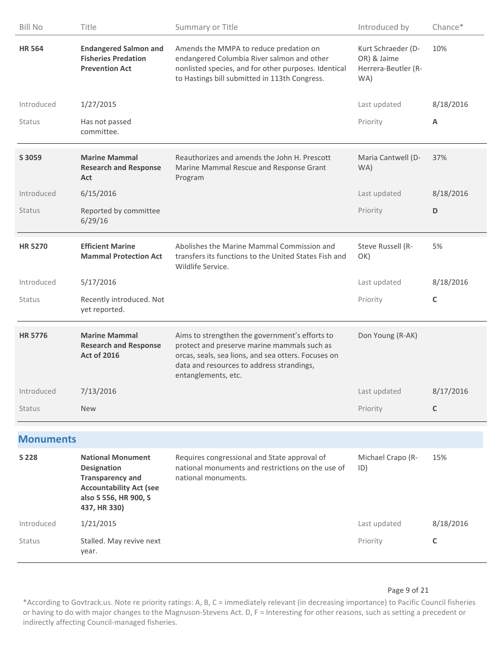| <b>Bill No</b>   | Title                                                                                                                                                | Summary or Title                                                                                                                                                                                                         | Introduced by                                                   | Chance*      |
|------------------|------------------------------------------------------------------------------------------------------------------------------------------------------|--------------------------------------------------------------------------------------------------------------------------------------------------------------------------------------------------------------------------|-----------------------------------------------------------------|--------------|
| <b>HR 564</b>    | <b>Endangered Salmon and</b><br><b>Fisheries Predation</b><br><b>Prevention Act</b>                                                                  | Amends the MMPA to reduce predation on<br>endangered Columbia River salmon and other<br>nonlisted species, and for other purposes. Identical<br>to Hastings bill submitted in 113th Congress.                            | Kurt Schraeder (D-<br>OR) & Jaime<br>Herrera-Beutler (R-<br>WA) | 10%          |
| Introduced       | 1/27/2015                                                                                                                                            |                                                                                                                                                                                                                          | Last updated                                                    | 8/18/2016    |
| Status           | Has not passed<br>committee.                                                                                                                         |                                                                                                                                                                                                                          | Priority                                                        | A            |
| S 3059           | <b>Marine Mammal</b><br><b>Research and Response</b><br>Act                                                                                          | Reauthorizes and amends the John H. Prescott<br>Marine Mammal Rescue and Response Grant<br>Program                                                                                                                       | Maria Cantwell (D-<br>WA)                                       | 37%          |
| Introduced       | 6/15/2016                                                                                                                                            |                                                                                                                                                                                                                          | Last updated                                                    | 8/18/2016    |
| <b>Status</b>    | Reported by committee<br>6/29/16                                                                                                                     |                                                                                                                                                                                                                          | Priority                                                        | D            |
| <b>HR 5270</b>   | <b>Efficient Marine</b><br><b>Mammal Protection Act</b>                                                                                              | Abolishes the Marine Mammal Commission and<br>transfers its functions to the United States Fish and<br>Wildlife Service.                                                                                                 | Steve Russell (R-<br>OK)                                        | 5%           |
| Introduced       | 5/17/2016                                                                                                                                            |                                                                                                                                                                                                                          | Last updated                                                    | 8/18/2016    |
| <b>Status</b>    | Recently introduced. Not<br>yet reported.                                                                                                            |                                                                                                                                                                                                                          | Priority                                                        | $\mathsf C$  |
| <b>HR 5776</b>   | <b>Marine Mammal</b><br><b>Research and Response</b><br><b>Act of 2016</b>                                                                           | Aims to strengthen the government's efforts to<br>protect and preserve marine mammals such as<br>orcas, seals, sea lions, and sea otters. Focuses on<br>data and resources to address strandings,<br>entanglements, etc. | Don Young (R-AK)                                                |              |
| Introduced       | 7/13/2016                                                                                                                                            |                                                                                                                                                                                                                          | Last updated                                                    | 8/17/2016    |
| <b>Status</b>    | <b>New</b>                                                                                                                                           |                                                                                                                                                                                                                          | Priority                                                        | C            |
| <b>Monuments</b> |                                                                                                                                                      |                                                                                                                                                                                                                          |                                                                 |              |
| S 228            | <b>National Monument</b><br><b>Designation</b><br><b>Transparency and</b><br><b>Accountability Act (see</b><br>also S 556, HR 900, S<br>437, HR 330) | Requires congressional and State approval of<br>national monuments and restrictions on the use of<br>national monuments.                                                                                                 | Michael Crapo (R-<br>ID)                                        | 15%          |
| Introduced       | 1/21/2015                                                                                                                                            |                                                                                                                                                                                                                          | Last updated                                                    | 8/18/2016    |
| <b>Status</b>    | Stalled. May revive next                                                                                                                             |                                                                                                                                                                                                                          | Priority                                                        | $\mathsf{C}$ |

### Page 9 of 21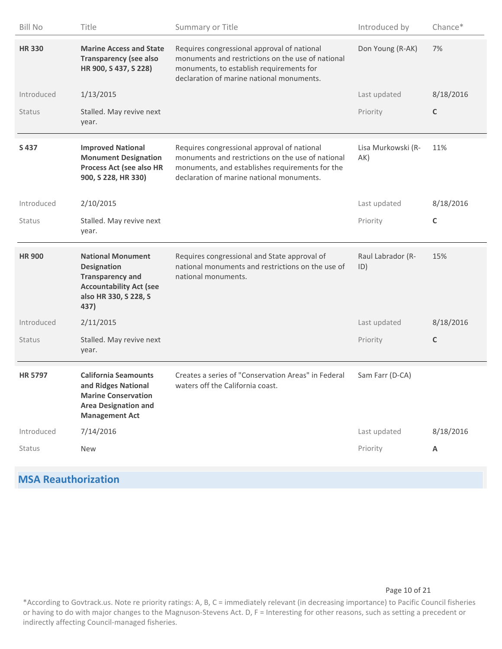| <b>Bill No</b> | Title                                                                                                                                        | Summary or Title                                                                                                                                                                                 | Introduced by             | Chance*     |
|----------------|----------------------------------------------------------------------------------------------------------------------------------------------|--------------------------------------------------------------------------------------------------------------------------------------------------------------------------------------------------|---------------------------|-------------|
| <b>HR330</b>   | <b>Marine Access and State</b><br><b>Transparency (see also</b><br>HR 900, S 437, S 228)                                                     | Requires congressional approval of national<br>monuments and restrictions on the use of national<br>monuments, to establish requirements for<br>declaration of marine national monuments.        | Don Young (R-AK)          | 7%          |
| Introduced     | 1/13/2015                                                                                                                                    |                                                                                                                                                                                                  | Last updated              | 8/18/2016   |
| <b>Status</b>  | Stalled. May revive next<br>year.                                                                                                            |                                                                                                                                                                                                  | Priority                  | $\mathsf C$ |
| S437           | <b>Improved National</b><br><b>Monument Designation</b><br>Process Act (see also HR<br>900, S 228, HR 330)                                   | Requires congressional approval of national<br>monuments and restrictions on the use of national<br>monuments, and establishes requirements for the<br>declaration of marine national monuments. | Lisa Murkowski (R-<br>AK) | 11%         |
| Introduced     | 2/10/2015                                                                                                                                    |                                                                                                                                                                                                  | Last updated              | 8/18/2016   |
| <b>Status</b>  | Stalled. May revive next<br>year.                                                                                                            |                                                                                                                                                                                                  | Priority                  | C           |
| <b>HR 900</b>  | <b>National Monument</b><br><b>Designation</b><br><b>Transparency and</b><br><b>Accountability Act (see</b><br>also HR 330, S 228, S<br>437) | Requires congressional and State approval of<br>national monuments and restrictions on the use of<br>national monuments.                                                                         | Raul Labrador (R-<br>ID)  | 15%         |
| Introduced     | 2/11/2015                                                                                                                                    |                                                                                                                                                                                                  | Last updated              | 8/18/2016   |
| Status         | Stalled. May revive next<br>year.                                                                                                            |                                                                                                                                                                                                  | Priority                  | $\mathsf C$ |
| <b>HR 5797</b> | <b>California Seamounts</b><br>and Ridges National<br><b>Marine Conservation</b><br><b>Area Designation and</b><br><b>Management Act</b>     | Creates a series of "Conservation Areas" in Federal<br>waters off the California coast.                                                                                                          | Sam Farr (D-CA)           |             |
| Introduced     | 7/14/2016                                                                                                                                    |                                                                                                                                                                                                  | Last updated              | 8/18/2016   |
| <b>Status</b>  | <b>New</b>                                                                                                                                   |                                                                                                                                                                                                  | Priority                  | Α           |
|                |                                                                                                                                              |                                                                                                                                                                                                  |                           |             |

# **MSA Reauthorization**

## Page 10 of 21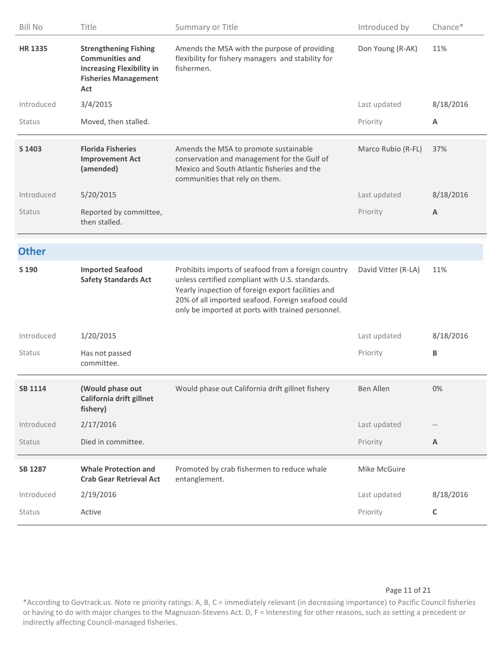| <b>Bill No</b> | Title                                                                                                                            | Summary or Title                                                                                                                                                                                                                                                        | Introduced by       | Chance*     |
|----------------|----------------------------------------------------------------------------------------------------------------------------------|-------------------------------------------------------------------------------------------------------------------------------------------------------------------------------------------------------------------------------------------------------------------------|---------------------|-------------|
| <b>HR 1335</b> | <b>Strengthening Fishing</b><br><b>Communities and</b><br><b>Increasing Flexibility in</b><br><b>Fisheries Management</b><br>Act | Amends the MSA with the purpose of providing<br>flexibility for fishery managers and stability for<br>fishermen.                                                                                                                                                        | Don Young (R-AK)    | 11%         |
| Introduced     | 3/4/2015                                                                                                                         |                                                                                                                                                                                                                                                                         | Last updated        | 8/18/2016   |
| Status         | Moved, then stalled.                                                                                                             |                                                                                                                                                                                                                                                                         | Priority            | Α           |
| S 1403         | <b>Florida Fisheries</b><br><b>Improvement Act</b><br>(amended)                                                                  | Amends the MSA to promote sustainable<br>conservation and management for the Gulf of<br>Mexico and South Atlantic fisheries and the<br>communities that rely on them.                                                                                                   | Marco Rubio (R-FL)  | 37%         |
| Introduced     | 5/20/2015                                                                                                                        |                                                                                                                                                                                                                                                                         | Last updated        | 8/18/2016   |
| <b>Status</b>  | Reported by committee,<br>then stalled.                                                                                          |                                                                                                                                                                                                                                                                         | Priority            | A           |
| <b>Other</b>   |                                                                                                                                  |                                                                                                                                                                                                                                                                         |                     |             |
| S 190          | <b>Imported Seafood</b><br><b>Safety Standards Act</b>                                                                           | Prohibits imports of seafood from a foreign country<br>unless certified compliant with U.S. standards.<br>Yearly inspection of foreign export facilities and<br>20% of all imported seafood. Foreign seafood could<br>only be imported at ports with trained personnel. | David Vitter (R-LA) | 11%         |
| Introduced     | 1/20/2015                                                                                                                        |                                                                                                                                                                                                                                                                         | Last updated        | 8/18/2016   |
| <b>Status</b>  | Has not passed<br>committee.                                                                                                     |                                                                                                                                                                                                                                                                         | Priority            | В           |
| <b>SB 1114</b> | (Would phase out<br>California drift gillnet<br>fishery)                                                                         | Would phase out California drift gillnet fishery                                                                                                                                                                                                                        | Ben Allen           | $0\%$       |
| Introduced     | 2/17/2016                                                                                                                        |                                                                                                                                                                                                                                                                         | Last updated        |             |
| Status         | Died in committee.                                                                                                               |                                                                                                                                                                                                                                                                         | Priority            | A           |
| <b>SB 1287</b> | <b>Whale Protection and</b><br><b>Crab Gear Retrieval Act</b>                                                                    | Promoted by crab fishermen to reduce whale<br>entanglement.                                                                                                                                                                                                             | Mike McGuire        |             |
| Introduced     | 2/19/2016                                                                                                                        |                                                                                                                                                                                                                                                                         | Last updated        | 8/18/2016   |
| Status         | Active                                                                                                                           |                                                                                                                                                                                                                                                                         | Priority            | $\mathsf C$ |

Page 11 of 21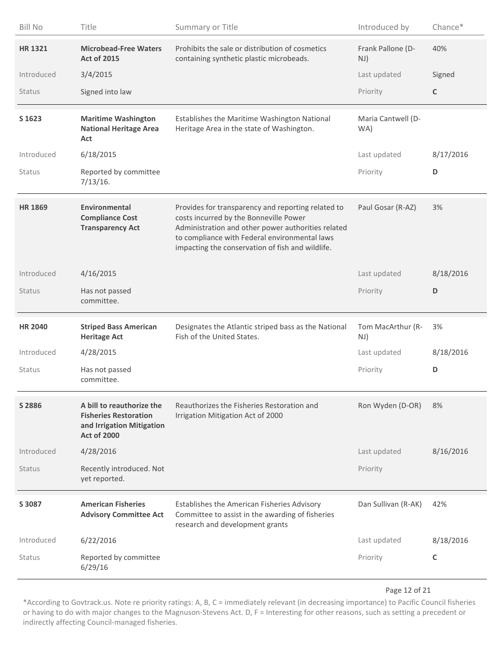| <b>Bill No</b> | Title                                                                                                        | Summary or Title                                                                                                                                                                                                                                        | Introduced by             | Chance*   |
|----------------|--------------------------------------------------------------------------------------------------------------|---------------------------------------------------------------------------------------------------------------------------------------------------------------------------------------------------------------------------------------------------------|---------------------------|-----------|
| <b>HR 1321</b> | <b>Microbead-Free Waters</b><br><b>Act of 2015</b>                                                           | Prohibits the sale or distribution of cosmetics<br>containing synthetic plastic microbeads.                                                                                                                                                             | Frank Pallone (D-<br>NJ)  | 40%       |
| Introduced     | 3/4/2015                                                                                                     |                                                                                                                                                                                                                                                         | Last updated              | Signed    |
| Status         | Signed into law                                                                                              |                                                                                                                                                                                                                                                         | Priority                  | C         |
| S 1623         | <b>Maritime Washington</b><br><b>National Heritage Area</b><br>Act                                           | Establishes the Maritime Washington National<br>Heritage Area in the state of Washington.                                                                                                                                                               | Maria Cantwell (D-<br>WA) |           |
| Introduced     | 6/18/2015                                                                                                    |                                                                                                                                                                                                                                                         | Last updated              | 8/17/2016 |
| Status         | Reported by committee<br>7/13/16.                                                                            |                                                                                                                                                                                                                                                         | Priority                  | D         |
| <b>HR 1869</b> | <b>Environmental</b><br><b>Compliance Cost</b><br><b>Transparency Act</b>                                    | Provides for transparency and reporting related to<br>costs incurred by the Bonneville Power<br>Administration and other power authorities related<br>to compliance with Federal environmental laws<br>impacting the conservation of fish and wildlife. | Paul Gosar (R-AZ)         | 3%        |
| Introduced     | 4/16/2015                                                                                                    |                                                                                                                                                                                                                                                         | Last updated              | 8/18/2016 |
| Status         | Has not passed<br>committee.                                                                                 |                                                                                                                                                                                                                                                         | Priority                  | D         |
| <b>HR 2040</b> | <b>Striped Bass American</b><br><b>Heritage Act</b>                                                          | Designates the Atlantic striped bass as the National<br>Fish of the United States.                                                                                                                                                                      | Tom MacArthur (R-<br>NJ)  | 3%        |
| Introduced     | 4/28/2015                                                                                                    |                                                                                                                                                                                                                                                         | Last updated              | 8/18/2016 |
| Status         | Has not passed<br>committee.                                                                                 |                                                                                                                                                                                                                                                         | Priority                  | D         |
| S 2886         | A bill to reauthorize the<br><b>Fisheries Restoration</b><br>and Irrigation Mitigation<br><b>Act of 2000</b> | Reauthorizes the Fisheries Restoration and<br>Irrigation Mitigation Act of 2000                                                                                                                                                                         | Ron Wyden (D-OR)          | 8%        |
| Introduced     | 4/28/2016                                                                                                    |                                                                                                                                                                                                                                                         | Last updated              | 8/16/2016 |
| <b>Status</b>  | Recently introduced. Not<br>yet reported.                                                                    |                                                                                                                                                                                                                                                         | Priority                  |           |
| S 3087         | <b>American Fisheries</b><br><b>Advisory Committee Act</b>                                                   | Establishes the American Fisheries Advisory<br>Committee to assist in the awarding of fisheries<br>research and development grants                                                                                                                      | Dan Sullivan (R-AK)       | 42%       |
| Introduced     | 6/22/2016                                                                                                    |                                                                                                                                                                                                                                                         | Last updated              | 8/18/2016 |
| Status         | Reported by committee<br>6/29/16                                                                             |                                                                                                                                                                                                                                                         | Priority                  | C         |

### Page 12 of 21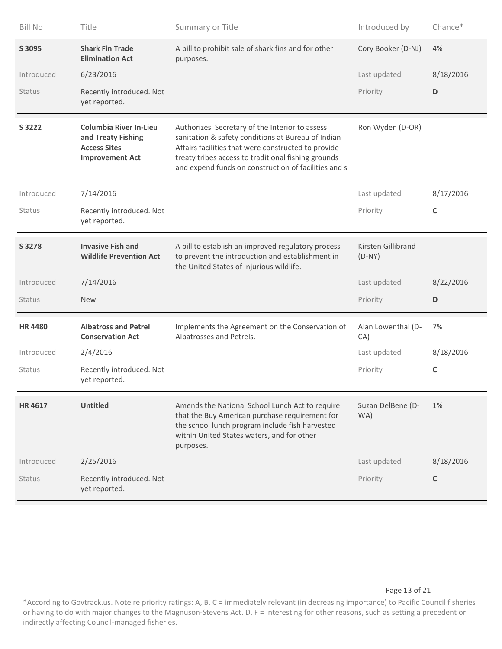| <b>Bill No</b> | Title                                                                                                | Summary or Title                                                                                                                                                                                                                                                           | Introduced by                  | Chance*     |
|----------------|------------------------------------------------------------------------------------------------------|----------------------------------------------------------------------------------------------------------------------------------------------------------------------------------------------------------------------------------------------------------------------------|--------------------------------|-------------|
| S 3095         | <b>Shark Fin Trade</b><br><b>Elimination Act</b>                                                     | A bill to prohibit sale of shark fins and for other<br>purposes.                                                                                                                                                                                                           | Cory Booker (D-NJ)             | 4%          |
| Introduced     | 6/23/2016                                                                                            |                                                                                                                                                                                                                                                                            | Last updated                   | 8/18/2016   |
| Status         | Recently introduced. Not<br>yet reported.                                                            |                                                                                                                                                                                                                                                                            | Priority                       | D           |
| S 3222         | <b>Columbia River In-Lieu</b><br>and Treaty Fishing<br><b>Access Sites</b><br><b>Improvement Act</b> | Authorizes Secretary of the Interior to assess<br>sanitation & safety conditions at Bureau of Indian<br>Affairs facilities that were constructed to provide<br>treaty tribes access to traditional fishing grounds<br>and expend funds on construction of facilities and s | Ron Wyden (D-OR)               |             |
| Introduced     | 7/14/2016                                                                                            |                                                                                                                                                                                                                                                                            | Last updated                   | 8/17/2016   |
| Status         | Recently introduced. Not<br>yet reported.                                                            |                                                                                                                                                                                                                                                                            | Priority                       | $\mathsf C$ |
| S 3278         | <b>Invasive Fish and</b><br><b>Wildlife Prevention Act</b>                                           | A bill to establish an improved regulatory process<br>to prevent the introduction and establishment in<br>the United States of injurious wildlife.                                                                                                                         | Kirsten Gillibrand<br>$(D-NY)$ |             |
| Introduced     | 7/14/2016                                                                                            |                                                                                                                                                                                                                                                                            | Last updated                   | 8/22/2016   |
| <b>Status</b>  | <b>New</b>                                                                                           |                                                                                                                                                                                                                                                                            | Priority                       | D           |
| <b>HR4480</b>  | <b>Albatross and Petrel</b><br><b>Conservation Act</b>                                               | Implements the Agreement on the Conservation of<br>Albatrosses and Petrels.                                                                                                                                                                                                | Alan Lowenthal (D-<br>CA)      | 7%          |
| Introduced     | 2/4/2016                                                                                             |                                                                                                                                                                                                                                                                            | Last updated                   | 8/18/2016   |
| <b>Status</b>  | Recently introduced. Not<br>yet reported.                                                            |                                                                                                                                                                                                                                                                            | Priority                       | C           |
| <b>HR4617</b>  | <b>Untitled</b>                                                                                      | Amends the National School Lunch Act to require<br>that the Buy American purchase requirement for<br>the school lunch program include fish harvested<br>within United States waters, and for other<br>purposes.                                                            | Suzan DelBene (D-<br>WA)       | $1\%$       |
| Introduced     | 2/25/2016                                                                                            |                                                                                                                                                                                                                                                                            | Last updated                   | 8/18/2016   |
| Status         | Recently introduced. Not<br>yet reported.                                                            |                                                                                                                                                                                                                                                                            | Priority                       | C           |

### Page 13 of 21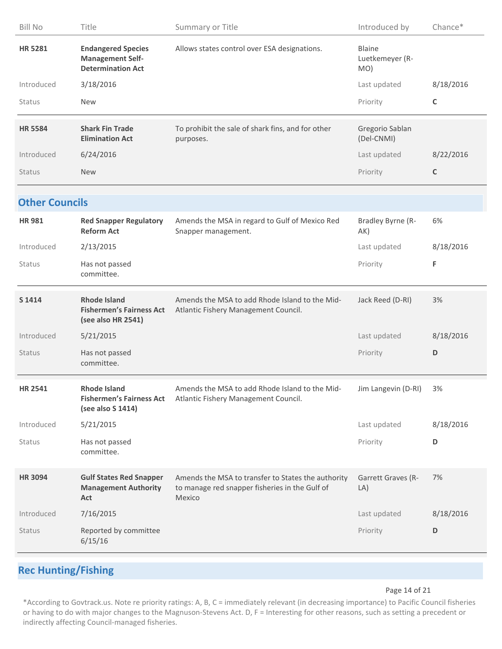| <b>Bill No</b>        | Title                                                                            | Summary or Title                                                                                                | Introduced by                           | Chance*     |
|-----------------------|----------------------------------------------------------------------------------|-----------------------------------------------------------------------------------------------------------------|-----------------------------------------|-------------|
| <b>HR 5281</b>        | <b>Endangered Species</b><br><b>Management Self-</b><br><b>Determination Act</b> | Allows states control over ESA designations.                                                                    | <b>Blaine</b><br>Luetkemeyer (R-<br>MO) |             |
| Introduced            | 3/18/2016                                                                        |                                                                                                                 | Last updated                            | 8/18/2016   |
| Status                | <b>New</b>                                                                       |                                                                                                                 | Priority                                | $\mathsf C$ |
| <b>HR 5584</b>        | <b>Shark Fin Trade</b><br><b>Elimination Act</b>                                 | To prohibit the sale of shark fins, and for other<br>purposes.                                                  | Gregorio Sablan<br>(Del-CNMI)           |             |
| Introduced            | 6/24/2016                                                                        |                                                                                                                 | Last updated                            | 8/22/2016   |
| <b>Status</b>         | <b>New</b>                                                                       |                                                                                                                 | Priority                                | $\mathsf C$ |
| <b>Other Councils</b> |                                                                                  |                                                                                                                 |                                         |             |
| <b>HR981</b>          | <b>Red Snapper Regulatory</b><br><b>Reform Act</b>                               | Amends the MSA in regard to Gulf of Mexico Red<br>Snapper management.                                           | Bradley Byrne (R-<br>AK)                | 6%          |
| Introduced            | 2/13/2015                                                                        |                                                                                                                 | Last updated                            | 8/18/2016   |
| Status                | Has not passed<br>committee.                                                     |                                                                                                                 | Priority                                | F           |
| S 1414                | <b>Rhode Island</b><br><b>Fishermen's Fairness Act</b><br>(see also HR 2541)     | Amends the MSA to add Rhode Island to the Mid-<br>Atlantic Fishery Management Council.                          | Jack Reed (D-RI)                        | 3%          |
| Introduced            | 5/21/2015                                                                        |                                                                                                                 | Last updated                            | 8/18/2016   |
| <b>Status</b>         | Has not passed<br>committee.                                                     |                                                                                                                 | Priority                                | D           |
| <b>HR 2541</b>        | Rhode Island<br>(see also S 1414)                                                | Amends the MSA to add Rhode Island to the Mid-<br>Fishermen's Fairness Act Atlantic Fishery Management Council. | Jim Langevin (D-RI)                     | 3%          |
| Introduced            | 5/21/2015                                                                        |                                                                                                                 | Last updated                            | 8/18/2016   |
| Status                | Has not passed<br>committee.                                                     |                                                                                                                 | Priority                                | D           |
| <b>HR 3094</b>        | <b>Gulf States Red Snapper</b><br><b>Management Authority</b><br>Act             | Amends the MSA to transfer to States the authority<br>to manage red snapper fisheries in the Gulf of<br>Mexico  | Garrett Graves (R-<br>LA)               | 7%          |
| Introduced            | 7/16/2015                                                                        |                                                                                                                 | Last updated                            | 8/18/2016   |
| <b>Status</b>         | Reported by committee<br>6/15/16                                                 |                                                                                                                 | Priority                                | D           |
|                       |                                                                                  |                                                                                                                 |                                         |             |

# **Rec Hunting/Fishing**

#### Page 14 of 21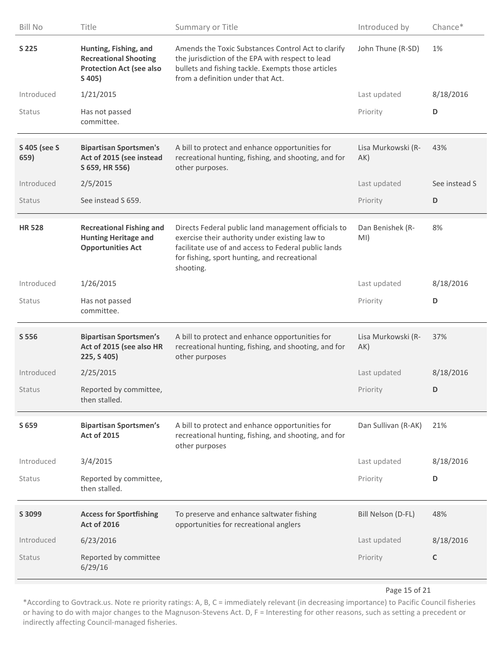| <b>Bill No</b>       | Title                                                                                              | Summary or Title                                                                                                                                                                                                           | Introduced by             | Chance*       |
|----------------------|----------------------------------------------------------------------------------------------------|----------------------------------------------------------------------------------------------------------------------------------------------------------------------------------------------------------------------------|---------------------------|---------------|
| S 225                | Hunting, Fishing, and<br><b>Recreational Shooting</b><br><b>Protection Act (see also</b><br>S 405) | Amends the Toxic Substances Control Act to clarify<br>the jurisdiction of the EPA with respect to lead<br>bullets and fishing tackle. Exempts those articles<br>from a definition under that Act.                          | John Thune (R-SD)         | 1%            |
| Introduced           | 1/21/2015                                                                                          |                                                                                                                                                                                                                            | Last updated              | 8/18/2016     |
| Status               | Has not passed<br>committee.                                                                       |                                                                                                                                                                                                                            | Priority                  | D             |
| S 405 (see S<br>659) | <b>Bipartisan Sportsmen's</b><br>Act of 2015 (see instead<br>S 659, HR 556)                        | A bill to protect and enhance opportunities for<br>recreational hunting, fishing, and shooting, and for<br>other purposes.                                                                                                 | Lisa Murkowski (R-<br>AK) | 43%           |
| Introduced           | 2/5/2015                                                                                           |                                                                                                                                                                                                                            | Last updated              | See instead S |
| Status               | See instead S 659.                                                                                 |                                                                                                                                                                                                                            | Priority                  | D             |
| <b>HR528</b>         | <b>Recreational Fishing and</b><br><b>Hunting Heritage and</b><br><b>Opportunities Act</b>         | Directs Federal public land management officials to<br>exercise their authority under existing law to<br>facilitate use of and access to Federal public lands<br>for fishing, sport hunting, and recreational<br>shooting. | Dan Benishek (R-<br>MI)   | 8%            |
| Introduced           | 1/26/2015                                                                                          |                                                                                                                                                                                                                            | Last updated              | 8/18/2016     |
| Status               | Has not passed<br>committee.                                                                       |                                                                                                                                                                                                                            | Priority                  | D             |
| S 556                | <b>Bipartisan Sportsmen's</b><br>Act of 2015 (see also HR<br>225, S 405)                           | A bill to protect and enhance opportunities for<br>recreational hunting, fishing, and shooting, and for<br>other purposes                                                                                                  | Lisa Murkowski (R-<br>AK) | 37%           |
| Introduced           | 2/25/2015                                                                                          |                                                                                                                                                                                                                            | Last updated              | 8/18/2016     |
| Status               | Reported by committee,<br>then stalled.                                                            |                                                                                                                                                                                                                            | Priority                  | D             |
| S 659                | <b>Bipartisan Sportsmen's</b><br><b>Act of 2015</b>                                                | A bill to protect and enhance opportunities for<br>recreational hunting, fishing, and shooting, and for<br>other purposes                                                                                                  | Dan Sullivan (R-AK)       | 21%           |
| Introduced           | 3/4/2015                                                                                           |                                                                                                                                                                                                                            | Last updated              | 8/18/2016     |
| Status               | Reported by committee,<br>then stalled.                                                            |                                                                                                                                                                                                                            | Priority                  | D             |
| S 3099               | <b>Access for Sportfishing</b><br><b>Act of 2016</b>                                               | To preserve and enhance saltwater fishing<br>opportunities for recreational anglers                                                                                                                                        | Bill Nelson (D-FL)        | 48%           |
| Introduced           | 6/23/2016                                                                                          |                                                                                                                                                                                                                            | Last updated              | 8/18/2016     |
| Status               | Reported by committee<br>6/29/16                                                                   |                                                                                                                                                                                                                            | Priority                  | $\mathsf C$   |

### Page 15 of 21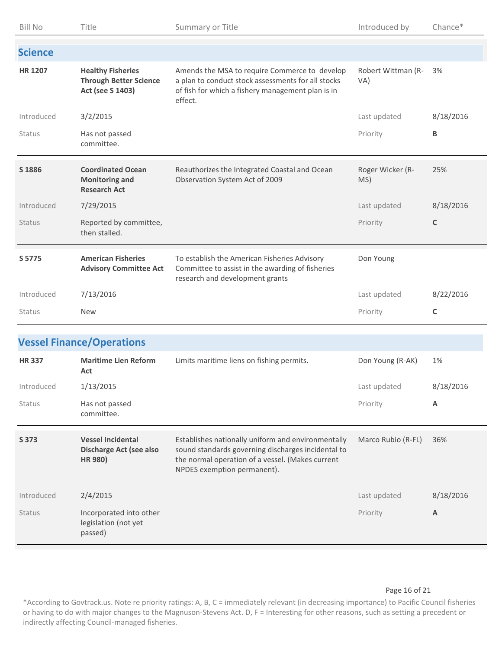| <b>Bill No</b> | Title                                                                         | Summary or Title                                                                                                                                                                            | Introduced by             | Chance*     |
|----------------|-------------------------------------------------------------------------------|---------------------------------------------------------------------------------------------------------------------------------------------------------------------------------------------|---------------------------|-------------|
| <b>Science</b> |                                                                               |                                                                                                                                                                                             |                           |             |
| <b>HR 1207</b> | <b>Healthy Fisheries</b><br><b>Through Better Science</b><br>Act (see S 1403) | Amends the MSA to require Commerce to develop<br>a plan to conduct stock assessments for all stocks<br>of fish for which a fishery management plan is in<br>effect.                         | Robert Wittman (R-<br>VA) | 3%          |
| Introduced     | 3/2/2015                                                                      |                                                                                                                                                                                             | Last updated              | 8/18/2016   |
| Status         | Has not passed<br>committee.                                                  |                                                                                                                                                                                             | Priority                  | В           |
| S 1886         | <b>Coordinated Ocean</b><br><b>Monitoring and</b><br><b>Research Act</b>      | Reauthorizes the Integrated Coastal and Ocean<br>Observation System Act of 2009                                                                                                             | Roger Wicker (R-<br>MS)   | 25%         |
| Introduced     | 7/29/2015                                                                     |                                                                                                                                                                                             | Last updated              | 8/18/2016   |
| <b>Status</b>  | Reported by committee,<br>then stalled.                                       |                                                                                                                                                                                             | Priority                  | C           |
| S 5775         | <b>American Fisheries</b><br><b>Advisory Committee Act</b>                    | To establish the American Fisheries Advisory<br>Committee to assist in the awarding of fisheries<br>research and development grants                                                         | Don Young                 |             |
| Introduced     | 7/13/2016                                                                     |                                                                                                                                                                                             | Last updated              | 8/22/2016   |
| Status         | <b>New</b>                                                                    |                                                                                                                                                                                             | Priority                  | $\mathsf C$ |
|                | <b>Vessel Finance/Operations</b>                                              |                                                                                                                                                                                             |                           |             |
| <b>HR337</b>   | <b>Maritime Lien Reform</b><br>Act                                            | Limits maritime liens on fishing permits.                                                                                                                                                   | Don Young (R-AK)          | 1%          |
| Introduced     | 1/13/2015                                                                     |                                                                                                                                                                                             | Last updated              | 8/18/2016   |
| Status         | Has not passed<br>committee.                                                  |                                                                                                                                                                                             | Priority                  | A           |
| S 373          | <b>Vessel Incidental</b><br>Discharge Act (see also<br>HR 980)                | Establishes nationally uniform and environmentally<br>sound standards governing discharges incidental to<br>the normal operation of a vessel. (Makes current<br>NPDES exemption permanent). | Marco Rubio (R-FL)        | 36%         |
| Introduced     | 2/4/2015                                                                      |                                                                                                                                                                                             | Last updated              | 8/18/2016   |
| Status         | Incorporated into other<br>legislation (not yet<br>passed)                    |                                                                                                                                                                                             | Priority                  | A           |

### Page 16 of 21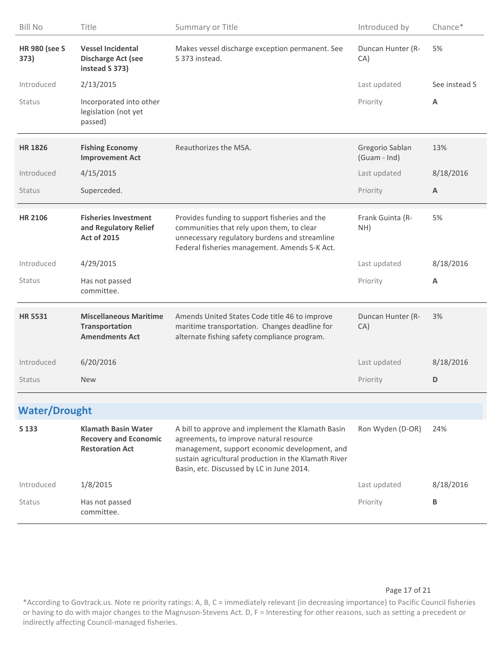| <b>Bill No</b>               | Title                                                                                | Summary or Title                                                                                                                                                                                                                                   | Introduced by                   | Chance*       |
|------------------------------|--------------------------------------------------------------------------------------|----------------------------------------------------------------------------------------------------------------------------------------------------------------------------------------------------------------------------------------------------|---------------------------------|---------------|
| <b>HR 980 (see S</b><br>373) | <b>Vessel Incidental</b><br><b>Discharge Act (see</b><br>instead S 373)              | Makes vessel discharge exception permanent. See<br>S 373 instead.                                                                                                                                                                                  | Duncan Hunter (R-<br>CA)        | 5%            |
| Introduced                   | 2/13/2015                                                                            |                                                                                                                                                                                                                                                    | Last updated                    | See instead S |
| <b>Status</b>                | Incorporated into other<br>legislation (not yet<br>passed)                           |                                                                                                                                                                                                                                                    | Priority                        | Α             |
| <b>HR 1826</b>               | <b>Fishing Economy</b><br><b>Improvement Act</b>                                     | Reauthorizes the MSA.                                                                                                                                                                                                                              | Gregorio Sablan<br>(Guam - Ind) | 13%           |
| Introduced                   | 4/15/2015                                                                            |                                                                                                                                                                                                                                                    | Last updated                    | 8/18/2016     |
| Status                       | Superceded.                                                                          |                                                                                                                                                                                                                                                    | Priority                        | A             |
| <b>HR 2106</b>               | <b>Fisheries Investment</b><br>and Regulatory Relief<br><b>Act of 2015</b>           | Provides funding to support fisheries and the<br>communities that rely upon them, to clear<br>unnecessary regulatory burdens and streamline<br>Federal fisheries management. Amends S-K Act.                                                       | Frank Guinta (R-<br>NH)         | 5%            |
| Introduced                   | 4/29/2015                                                                            |                                                                                                                                                                                                                                                    | Last updated                    | 8/18/2016     |
|                              |                                                                                      |                                                                                                                                                                                                                                                    |                                 |               |
| Status                       | Has not passed<br>committee.                                                         |                                                                                                                                                                                                                                                    | Priority                        | A             |
| <b>HR 5531</b>               | <b>Miscellaneous Maritime</b><br><b>Transportation</b><br><b>Amendments Act</b>      | Amends United States Code title 46 to improve<br>maritime transportation. Changes deadline for<br>alternate fishing safety compliance program.                                                                                                     | Duncan Hunter (R-<br>CA)        | 3%            |
| Introduced                   | 6/20/2016                                                                            |                                                                                                                                                                                                                                                    | Last updated                    | 8/18/2016     |
| <b>Status</b>                | <b>New</b>                                                                           |                                                                                                                                                                                                                                                    | Priority                        | D             |
| <b>Water/Drought</b>         |                                                                                      |                                                                                                                                                                                                                                                    |                                 |               |
| S 133                        | <b>Klamath Basin Water</b><br><b>Recovery and Economic</b><br><b>Restoration Act</b> | A bill to approve and implement the Klamath Basin<br>agreements, to improve natural resource<br>management, support economic development, and<br>sustain agricultural production in the Klamath River<br>Basin, etc. Discussed by LC in June 2014. | Ron Wyden (D-OR)                | 24%           |
| Introduced                   | 1/8/2015                                                                             |                                                                                                                                                                                                                                                    | Last updated                    | 8/18/2016     |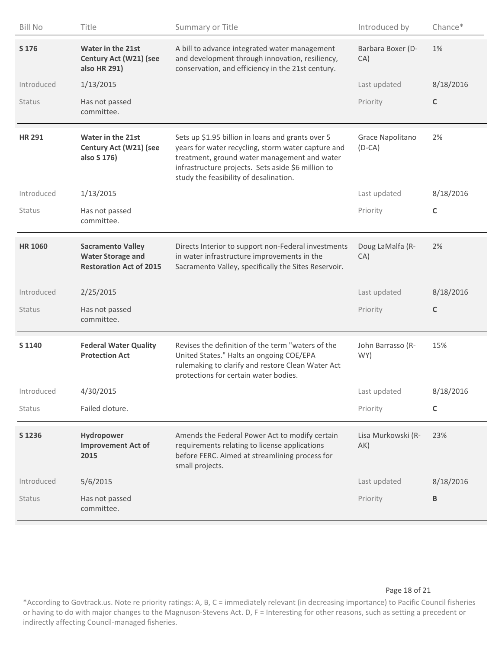| <b>Bill No</b> | Title                                                                                  | Summary or Title                                                                                                                                                                                                                                        | Introduced by                | Chance*      |
|----------------|----------------------------------------------------------------------------------------|---------------------------------------------------------------------------------------------------------------------------------------------------------------------------------------------------------------------------------------------------------|------------------------------|--------------|
| S 176          | <b>Water in the 21st</b><br>Century Act (W21) (see<br>also HR 291)                     | A bill to advance integrated water management<br>and development through innovation, resiliency,<br>conservation, and efficiency in the 21st century.                                                                                                   | Barbara Boxer (D-<br>CA)     | 1%           |
| Introduced     | 1/13/2015                                                                              |                                                                                                                                                                                                                                                         | Last updated                 | 8/18/2016    |
| Status         | Has not passed<br>committee.                                                           |                                                                                                                                                                                                                                                         | Priority                     | $\mathsf{C}$ |
| <b>HR 291</b>  | <b>Water in the 21st</b><br>Century Act (W21) (see<br>also S 176)                      | Sets up \$1.95 billion in loans and grants over 5<br>years for water recycling, storm water capture and<br>treatment, ground water management and water<br>infrastructure projects. Sets aside \$6 million to<br>study the feasibility of desalination. | Grace Napolitano<br>$(D-CA)$ | 2%           |
| Introduced     | 1/13/2015                                                                              |                                                                                                                                                                                                                                                         | Last updated                 | 8/18/2016    |
| Status         | Has not passed<br>committee.                                                           |                                                                                                                                                                                                                                                         | Priority                     | $\mathsf C$  |
| <b>HR 1060</b> | <b>Sacramento Valley</b><br><b>Water Storage and</b><br><b>Restoration Act of 2015</b> | Directs Interior to support non-Federal investments<br>in water infrastructure improvements in the<br>Sacramento Valley, specifically the Sites Reservoir.                                                                                              | Doug LaMalfa (R-<br>CA)      | 2%           |
| Introduced     | 2/25/2015                                                                              |                                                                                                                                                                                                                                                         | Last updated                 | 8/18/2016    |
| Status         | Has not passed<br>committee.                                                           |                                                                                                                                                                                                                                                         | Priority                     | $\mathsf C$  |
| S 1140         | <b>Federal Water Quality</b><br><b>Protection Act</b>                                  | Revises the definition of the term "waters of the<br>United States." Halts an ongoing COE/EPA<br>rulemaking to clarify and restore Clean Water Act<br>protections for certain water bodies.                                                             | John Barrasso (R-<br>WY)     | 15%          |
| Introduced     | 4/30/2015                                                                              |                                                                                                                                                                                                                                                         | Last updated                 | 8/18/2016    |
| Status         | Failed cloture.                                                                        |                                                                                                                                                                                                                                                         | Priority                     | C            |
| S 1236         | Hydropower<br><b>Improvement Act of</b><br>2015                                        | Amends the Federal Power Act to modify certain<br>requirements relating to license applications<br>before FERC. Aimed at streamlining process for<br>small projects.                                                                                    | Lisa Murkowski (R-<br>AK)    | 23%          |
| Introduced     | 5/6/2015                                                                               |                                                                                                                                                                                                                                                         | Last updated                 | 8/18/2016    |
| Status         | Has not passed<br>committee.                                                           |                                                                                                                                                                                                                                                         | Priority                     | В            |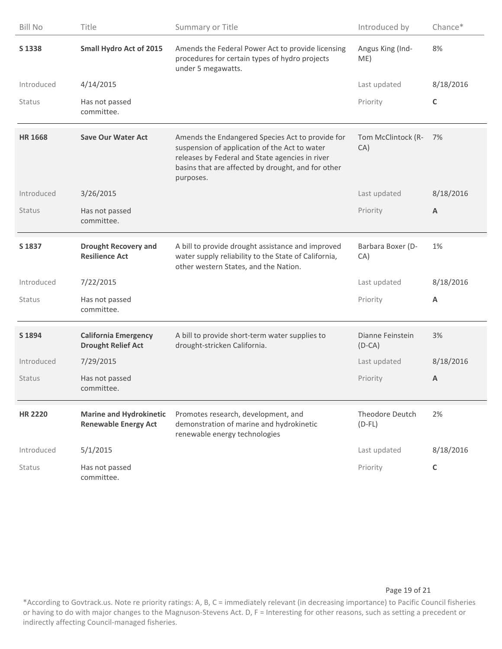| <b>Bill No</b> | Title                                                         | Summary or Title                                                                                                                                                                                                        | Introduced by                | Chance*        |
|----------------|---------------------------------------------------------------|-------------------------------------------------------------------------------------------------------------------------------------------------------------------------------------------------------------------------|------------------------------|----------------|
| S 1338         | <b>Small Hydro Act of 2015</b>                                | Amends the Federal Power Act to provide licensing<br>procedures for certain types of hydro projects<br>under 5 megawatts.                                                                                               | Angus King (Ind-<br>ME)      | 8%             |
| Introduced     | 4/14/2015                                                     |                                                                                                                                                                                                                         | Last updated                 | 8/18/2016      |
| Status         | Has not passed<br>committee.                                  |                                                                                                                                                                                                                         | Priority                     | $\mathsf{C}$   |
| <b>HR 1668</b> | <b>Save Our Water Act</b>                                     | Amends the Endangered Species Act to provide for<br>suspension of application of the Act to water<br>releases by Federal and State agencies in river<br>basins that are affected by drought, and for other<br>purposes. | Tom McClintock (R-<br>CA)    | 7%             |
| Introduced     | 3/26/2015                                                     |                                                                                                                                                                                                                         | Last updated                 | 8/18/2016      |
| <b>Status</b>  | Has not passed<br>committee.                                  |                                                                                                                                                                                                                         | Priority                     | A              |
| S 1837         | <b>Drought Recovery and</b><br><b>Resilience Act</b>          | A bill to provide drought assistance and improved<br>water supply reliability to the State of California,<br>other western States, and the Nation.                                                                      | Barbara Boxer (D-<br>CA)     | 1%             |
| Introduced     | 7/22/2015                                                     |                                                                                                                                                                                                                         | Last updated                 | 8/18/2016      |
| Status         | Has not passed<br>committee.                                  |                                                                                                                                                                                                                         | Priority                     | $\overline{A}$ |
| S 1894         | <b>California Emergency</b><br><b>Drought Relief Act</b>      | A bill to provide short-term water supplies to<br>drought-stricken California.                                                                                                                                          | Dianne Feinstein<br>$(D-CA)$ | 3%             |
| Introduced     | 7/29/2015                                                     |                                                                                                                                                                                                                         | Last updated                 | 8/18/2016      |
| Status         | Has not passed<br>committee.                                  |                                                                                                                                                                                                                         | Priority                     | $\overline{A}$ |
| <b>HR 2220</b> | <b>Marine and Hydrokinetic</b><br><b>Renewable Energy Act</b> | Promotes research, development, and<br>demonstration of marine and hydrokinetic<br>renewable energy technologies                                                                                                        | Theodore Deutch<br>$(D-FL)$  | 2%             |
| Introduced     | 5/1/2015                                                      |                                                                                                                                                                                                                         | Last updated                 | 8/18/2016      |
| Status         | Has not passed<br>committee.                                  |                                                                                                                                                                                                                         | Priority                     | $\mathsf{C}$   |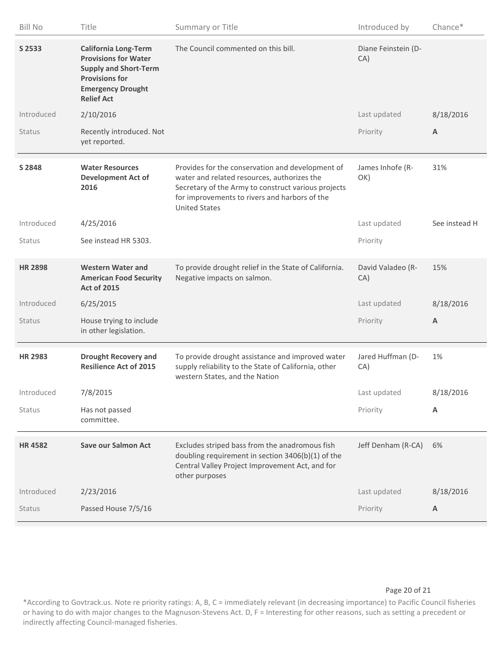| <b>Bill No</b> | Title                                                                                                                                                                | Summary or Title                                                                                                                                                                                                                | Introduced by              | Chance*                   |
|----------------|----------------------------------------------------------------------------------------------------------------------------------------------------------------------|---------------------------------------------------------------------------------------------------------------------------------------------------------------------------------------------------------------------------------|----------------------------|---------------------------|
| S 2533         | <b>California Long-Term</b><br><b>Provisions for Water</b><br><b>Supply and Short-Term</b><br><b>Provisions for</b><br><b>Emergency Drought</b><br><b>Relief Act</b> | The Council commented on this bill.                                                                                                                                                                                             | Diane Feinstein (D-<br>CA) |                           |
| Introduced     | 2/10/2016                                                                                                                                                            |                                                                                                                                                                                                                                 | Last updated               | 8/18/2016                 |
| Status         | Recently introduced. Not<br>yet reported.                                                                                                                            |                                                                                                                                                                                                                                 | Priority                   | A                         |
| S 2848         | <b>Water Resources</b><br><b>Development Act of</b><br>2016                                                                                                          | Provides for the conservation and development of<br>water and related resources, authorizes the<br>Secretary of the Army to construct various projects<br>for improvements to rivers and harbors of the<br><b>United States</b> | James Inhofe (R-<br>OK)    | 31%                       |
| Introduced     | 4/25/2016                                                                                                                                                            |                                                                                                                                                                                                                                 | Last updated               | See instead H             |
| Status         | See instead HR 5303.                                                                                                                                                 |                                                                                                                                                                                                                                 | Priority                   |                           |
| <b>HR 2898</b> | <b>Western Water and</b><br><b>American Food Security</b><br><b>Act of 2015</b>                                                                                      | To provide drought relief in the State of California.<br>Negative impacts on salmon.                                                                                                                                            | David Valadeo (R-<br>CA)   | 15%                       |
| Introduced     | 6/25/2015                                                                                                                                                            |                                                                                                                                                                                                                                 | Last updated               | 8/18/2016                 |
| Status         | House trying to include<br>in other legislation.                                                                                                                     |                                                                                                                                                                                                                                 | Priority                   | $\boldsymbol{\mathsf{A}}$ |
| <b>HR 2983</b> | <b>Drought Recovery and</b><br><b>Resilience Act of 2015</b>                                                                                                         | To provide drought assistance and improved water<br>supply reliability to the State of California, other<br>western States, and the Nation                                                                                      | Jared Huffman (D-<br>CA)   | 1%                        |
| Introduced     | 7/8/2015                                                                                                                                                             |                                                                                                                                                                                                                                 | Last updated               | 8/18/2016                 |
| Status         | Has not passed<br>committee.                                                                                                                                         |                                                                                                                                                                                                                                 | Priority                   | Α                         |
| <b>HR4582</b>  | <b>Save our Salmon Act</b>                                                                                                                                           | Excludes striped bass from the anadromous fish<br>doubling requirement in section 3406(b)(1) of the<br>Central Valley Project Improvement Act, and for<br>other purposes                                                        | Jeff Denham (R-CA)         | 6%                        |
| Introduced     | 2/23/2016                                                                                                                                                            |                                                                                                                                                                                                                                 | Last updated               | 8/18/2016                 |
| Status         | Passed House 7/5/16                                                                                                                                                  |                                                                                                                                                                                                                                 | Priority                   | A                         |

### Page 20 of 21